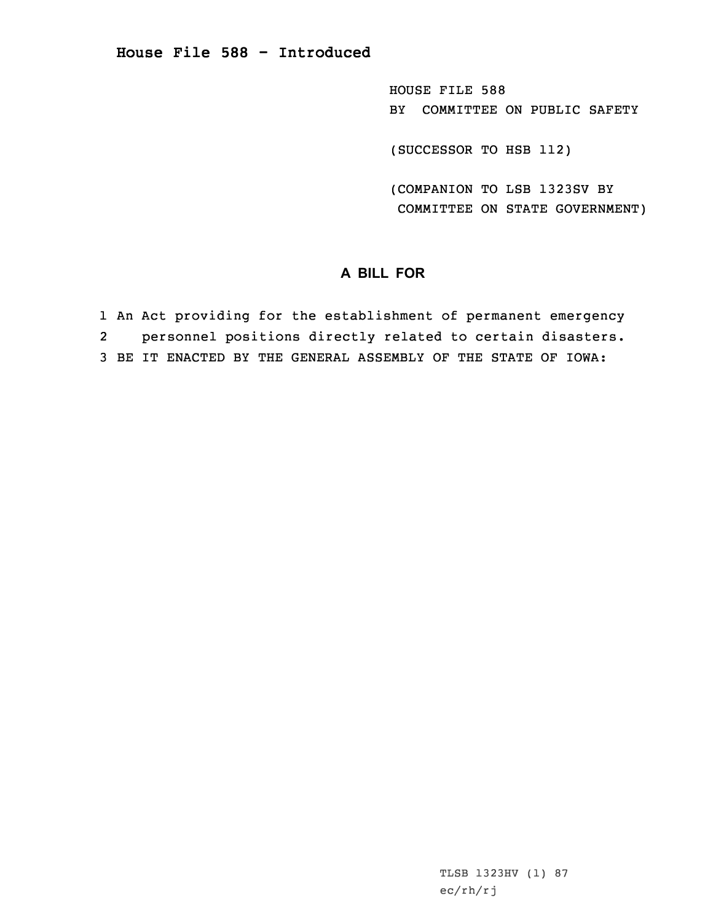HOUSE FILE 588 BY COMMITTEE ON PUBLIC SAFETY

(SUCCESSOR TO HSB 112)

(COMPANION TO LSB 1323SV BY COMMITTEE ON STATE GOVERNMENT)

## **A BILL FOR**

1 An Act providing for the establishment of permanent emergency 2 personnel positions directly related to certain disasters. 3 BE IT ENACTED BY THE GENERAL ASSEMBLY OF THE STATE OF IOWA:

> TLSB 1323HV (1) 87 ec/rh/rj